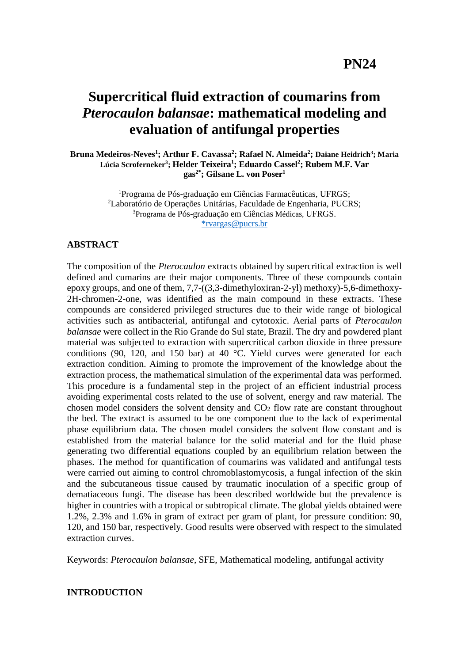# **Supercritical fluid extraction of coumarins from** *Pterocaulon balansae***: mathematical modeling and evaluation of antifungal properties**

**Bruna Medeiros-Neves<sup>1</sup> ; Arthur F. Cavassa<sup>2</sup> ; Rafael N. Almeida<sup>2</sup> ; Daiane Heidrich<sup>3</sup> ; Maria Lúcia Scroferneker<sup>3</sup> ; Helder Teixeira<sup>1</sup> ; Eduardo Cassel<sup>2</sup> ; Rubem M.F. Var gas2\* ; Gilsane L. von Poser 1**

> <sup>1</sup>Programa de Pós-graduação em Ciências Farmacêuticas, UFRGS; <sup>2</sup>Laboratório de Operações Unitárias, Faculdade de Engenharia, PUCRS; <sup>3</sup>Programa de Pós-graduação em Ciências Médicas, UFRGS. [\\*rvargas@pucrs.br](mailto:*rvargas@pucrs.br)

#### **ABSTRACT**

The composition of the *Pterocaulon* extracts obtained by supercritical extraction is well defined and cumarins are their major components. Three of these compounds contain epoxy groups, and one of them, 7,7-((3,3-dimethyloxiran-2-yl) methoxy)-5,6-dimethoxy-2H-chromen-2-one, was identified as the main compound in these extracts. These compounds are considered privileged structures due to their wide range of biological activities such as antibacterial, antifungal and cytotoxic. Aerial parts of *Pterocaulon balansae* were collect in the Rio Grande do Sul state, Brazil. The dry and powdered plant material was subjected to extraction with supercritical carbon dioxide in three pressure conditions (90, 120, and 150 bar) at 40 °C. Yield curves were generated for each extraction condition. Aiming to promote the improvement of the knowledge about the extraction process, the mathematical simulation of the experimental data was performed. This procedure is a fundamental step in the project of an efficient industrial process avoiding experimental costs related to the use of solvent, energy and raw material. The chosen model considers the solvent density and  $CO<sub>2</sub>$  flow rate are constant throughout the bed. The extract is assumed to be one component due to the lack of experimental phase equilibrium data. The chosen model considers the solvent flow constant and is established from the material balance for the solid material and for the fluid phase generating two differential equations coupled by an equilibrium relation between the phases. The method for quantification of coumarins was validated and antifungal tests were carried out aiming to control chromoblastomycosis, a fungal infection of the skin and the subcutaneous tissue caused by traumatic inoculation of a specific group of dematiaceous fungi. The disease has been described worldwide but the prevalence is higher in countries with a tropical or subtropical climate. The global yields obtained were 1.2%, 2.3% and 1.6% in gram of extract per gram of plant, for pressure condition: 90, 120, and 150 bar, respectively. Good results were observed with respect to the simulated extraction curves.

Keywords: *Pterocaulon balansae*, SFE, Mathematical modeling, antifungal activity

#### **INTRODUCTION**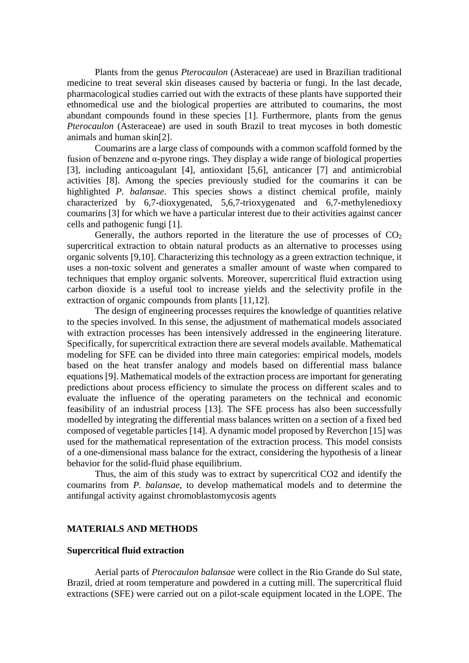Plants from the genus *Pterocaulon* (Asteraceae) are used in Brazilian traditional medicine to treat several skin diseases caused by bacteria or fungi. In the last decade, pharmacological studies carried out with the extracts of these plants have supported their ethnomedical use and the biological properties are attributed to coumarins, the most abundant compounds found in these species [1]. Furthermore, plants from the genus *Pterocaulon* (Asteraceae) are used in south Brazil to treat mycoses in both domestic animals and human skin[2].

Coumarins are a large class of compounds with a common scaffold formed by the fusion of benzene and  $\alpha$ -pyrone rings. They display a wide range of biological properties [3], including anticoagulant [4], antioxidant [5,6], anticancer [7] and antimicrobial activities [8]. Among the species previously studied for the coumarins it can be highlighted *P. balansae*. This species shows a distinct chemical profile, mainly characterized by 6,7-dioxygenated, 5,6,7-trioxygenated and 6,7-methylenedioxy coumarins [3] for which we have a particular interest due to their activities against cancer cells and pathogenic fungi [1].

Generally, the authors reported in the literature the use of processes of  $CO<sub>2</sub>$ supercritical extraction to obtain natural products as an alternative to processes using organic solvents [9,10]. Characterizing this technology as a green extraction technique, it uses a non-toxic solvent and generates a smaller amount of waste when compared to techniques that employ organic solvents. Moreover, supercritical fluid extraction using carbon dioxide is a useful tool to increase yields and the selectivity profile in the extraction of organic compounds from plants [11,12].

The design of engineering processes requires the knowledge of quantities relative to the species involved. In this sense, the adjustment of mathematical models associated with extraction processes has been intensively addressed in the engineering literature. Specifically, for supercritical extraction there are several models available. Mathematical modeling for SFE can be divided into three main categories: empirical models, models based on the heat transfer analogy and models based on differential mass balance equations [9]. Mathematical models of the extraction process are important for generating predictions about process efficiency to simulate the process on different scales and to evaluate the influence of the operating parameters on the technical and economic feasibility of an industrial process [13]. The SFE process has also been successfully modelled by integrating the differential mass balances written on a section of a fixed bed composed of vegetable particles [14]. A dynamic model proposed by Reverchon [15] was used for the mathematical representation of the extraction process. This model consists of a one-dimensional mass balance for the extract, considering the hypothesis of a linear behavior for the solid-fluid phase equilibrium.

Thus, the aim of this study was to extract by supercritical CO2 and identify the coumarins from *P. balansae*, to develop mathematical models and to determine the antifungal activity against chromoblastomycosis agents

#### **MATERIALS AND METHODS**

#### **Supercritical fluid extraction**

Aerial parts of *Pterocaulon balansae* were collect in the Rio Grande do Sul state, Brazil, dried at room temperature and powdered in a cutting mill. The supercritical fluid extractions (SFE) were carried out on a pilot-scale equipment located in the LOPE. The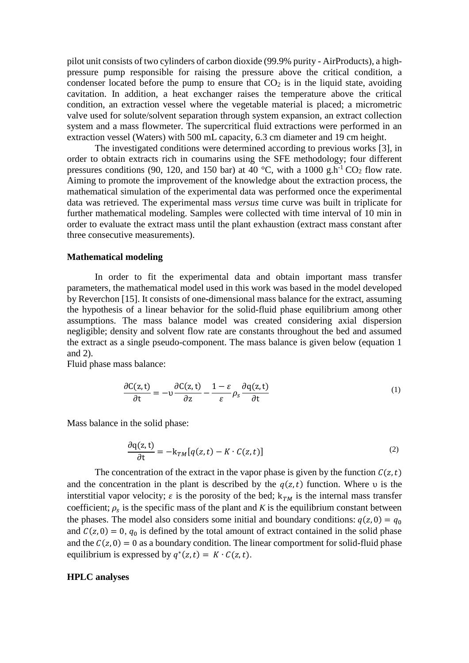pilot unit consists of two cylinders of carbon dioxide (99.9% purity - AirProducts), a highpressure pump responsible for raising the pressure above the critical condition, a condenser located before the pump to ensure that  $CO<sub>2</sub>$  is in the liquid state, avoiding cavitation. In addition, a heat exchanger raises the temperature above the critical condition, an extraction vessel where the vegetable material is placed; a micrometric valve used for solute/solvent separation through system expansion, an extract collection system and a mass flowmeter. The supercritical fluid extractions were performed in an extraction vessel (Waters) with 500 mL capacity, 6.3 cm diameter and 19 cm height.

The investigated conditions were determined according to previous works [3], in order to obtain extracts rich in coumarins using the SFE methodology; four different pressures conditions (90, 120, and 150 bar) at 40 °C, with a 1000 g.h<sup>-1</sup> CO<sub>2</sub> flow rate. Aiming to promote the improvement of the knowledge about the extraction process, the mathematical simulation of the experimental data was performed once the experimental data was retrieved. The experimental mass *versus* time curve was built in triplicate for further mathematical modeling. Samples were collected with time interval of 10 min in order to evaluate the extract mass until the plant exhaustion (extract mass constant after three consecutive measurements).

#### **Mathematical modeling**

In order to fit the experimental data and obtain important mass transfer parameters, the mathematical model used in this work was based in the model developed by Reverchon [15]. It consists of one-dimensional mass balance for the extract, assuming the hypothesis of a linear behavior for the solid-fluid phase equilibrium among other assumptions. The mass balance model was created considering axial dispersion negligible; density and solvent flow rate are constants throughout the bed and assumed the extract as a single pseudo-component. The mass balance is given below (equation 1 and 2).

Fluid phase mass balance:

$$
\frac{\partial C(z,t)}{\partial t} = -v \frac{\partial C(z,t)}{\partial z} - \frac{1-\varepsilon}{\varepsilon} \rho_s \frac{\partial q(z,t)}{\partial t}
$$
(1)

Mass balance in the solid phase:

$$
\frac{\partial q(z,t)}{\partial t} = -k_{TM}[q(z,t) - K \cdot C(z,t)] \tag{2}
$$

The concentration of the extract in the vapor phase is given by the function  $C(z,t)$ and the concentration in the plant is described by the  $q(z,t)$  function. Where v is the interstitial vapor velocity;  $\varepsilon$  is the porosity of the bed;  $k_{TM}$  is the internal mass transfer coefficient;  $\rho_s$  is the specific mass of the plant and *K* is the equilibrium constant between the phases. The model also considers some initial and boundary conditions:  $q(z, 0) = q_0$ and  $C(z, 0) = 0$ ,  $q_0$  is defined by the total amount of extract contained in the solid phase and the  $C(z, 0) = 0$  as a boundary condition. The linear comportment for solid-fluid phase equilibrium is expressed by  $q^*(z,t) = K \cdot C(z,t)$ .

#### **HPLC analyses**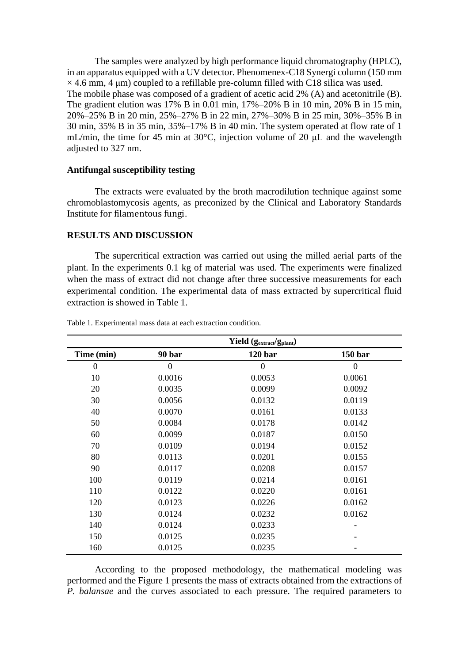The samples were analyzed by high performance liquid chromatography (HPLC), in an apparatus equipped with a UV detector. Phenomenex-C18 Synergi column (150 mm  $\times$  4.6 mm, 4 µm) coupled to a refillable pre-column filled with C18 silica was used. The mobile phase was composed of a gradient of acetic acid 2% (A) and acetonitrile (B). The gradient elution was 17% B in 0.01 min, 17%–20% B in 10 min, 20% B in 15 min, 20%–25% B in 20 min, 25%–27% B in 22 min, 27%–30% B in 25 min, 30%–35% B in 30 min, 35% B in 35 min, 35%–17% B in 40 min. The system operated at flow rate of 1 mL/min, the time for 45 min at 30°C, injection volume of 20 μL and the wavelength adjusted to 327 nm.

#### **Antifungal susceptibility testing**

The extracts were evaluated by the broth macrodilution technique against some chromoblastomycosis agents, as preconized by the Clinical and Laboratory Standards Institute for filamentous fungi.

#### **RESULTS AND DISCUSSION**

The supercritical extraction was carried out using the milled aerial parts of the plant. In the experiments 0.1 kg of material was used. The experiments were finalized when the mass of extract did not change after three successive measurements for each experimental condition. The experimental data of mass extracted by supercritical fluid extraction is showed in Table 1.

|              | Yield (g <sub>extract</sub> /g <sub>plant</sub> ) |                    |              |  |
|--------------|---------------------------------------------------|--------------------|--------------|--|
| Time (min)   | 90 bar                                            | 120 <sub>bar</sub> | 150 bar      |  |
| $\mathbf{0}$ | $\overline{0}$                                    | $\boldsymbol{0}$   | $\mathbf{0}$ |  |
| 10           | 0.0016                                            | 0.0053             | 0.0061       |  |
| 20           | 0.0035                                            | 0.0099             | 0.0092       |  |
| 30           | 0.0056                                            | 0.0132             | 0.0119       |  |
| 40           | 0.0070                                            | 0.0161             | 0.0133       |  |
| 50           | 0.0084                                            | 0.0178             | 0.0142       |  |
| 60           | 0.0099                                            | 0.0187             | 0.0150       |  |
| 70           | 0.0109                                            | 0.0194             | 0.0152       |  |
| 80           | 0.0113                                            | 0.0201             | 0.0155       |  |
| 90           | 0.0117                                            | 0.0208             | 0.0157       |  |
| 100          | 0.0119                                            | 0.0214             | 0.0161       |  |
| 110          | 0.0122                                            | 0.0220             | 0.0161       |  |
| 120          | 0.0123                                            | 0.0226             | 0.0162       |  |
| 130          | 0.0124                                            | 0.0232             | 0.0162       |  |
| 140          | 0.0124                                            | 0.0233             |              |  |
| 150          | 0.0125                                            | 0.0235             |              |  |
| 160          | 0.0125                                            | 0.0235             |              |  |

Table 1. Experimental mass data at each extraction condition.

According to the proposed methodology, the mathematical modeling was performed and the Figure 1 presents the mass of extracts obtained from the extractions of *P. balansae* and the curves associated to each pressure. The required parameters to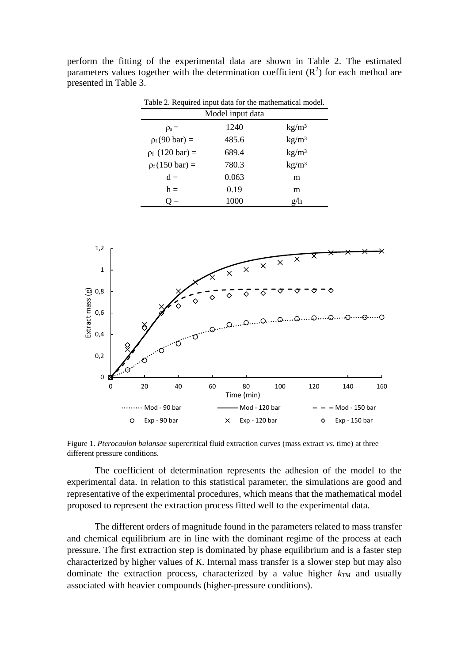| Table 2. Required input data for the mathematical model. |       |                   |  |  |  |  |
|----------------------------------------------------------|-------|-------------------|--|--|--|--|
| Model input data                                         |       |                   |  |  |  |  |
| $\rho_s =$                                               | 1240  | kg/m <sup>3</sup> |  |  |  |  |
| $\rho_f(90 \text{ bar}) =$                               | 485.6 | kg/m <sup>3</sup> |  |  |  |  |
| $\rho_f$ (120 bar) =                                     | 689.4 | kg/m <sup>3</sup> |  |  |  |  |
| $\rho_f(150 \text{ bar}) =$                              | 780.3 | kg/m <sup>3</sup> |  |  |  |  |
| $d =$                                                    | 0.063 | m                 |  |  |  |  |
| $h =$                                                    | 0.19  | m                 |  |  |  |  |
| $\equiv$                                                 | 1000  | g/h               |  |  |  |  |

perform the fitting of the experimental data are shown in Table 2. The estimated parameters values together with the determination coefficient  $(R^2)$  for each method are presented in Table 3.



Figure 1. *Pterocaulon balansae* supercritical fluid extraction curves (mass extract *vs.* time) at three different pressure conditions.

The coefficient of determination represents the adhesion of the model to the experimental data. In relation to this statistical parameter, the simulations are good and representative of the experimental procedures, which means that the mathematical model proposed to represent the extraction process fitted well to the experimental data.

The different orders of magnitude found in the parameters related to mass transfer and chemical equilibrium are in line with the dominant regime of the process at each pressure. The first extraction step is dominated by phase equilibrium and is a faster step characterized by higher values of *K*. Internal mass transfer is a slower step but may also dominate the extraction process, characterized by a value higher  $k_{TM}$  and usually associated with heavier compounds (higher-pressure conditions).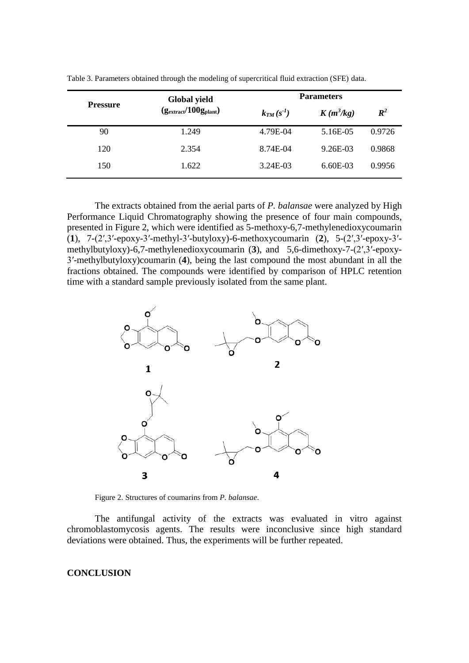|                 | <b>Global yield</b><br>$(g_{\text{extract}}/100g_{\text{plant}})$ | <b>Parameters</b> |             |                |
|-----------------|-------------------------------------------------------------------|-------------------|-------------|----------------|
| <b>Pressure</b> |                                                                   | $k_{TM}(s^{-1})$  | $K(m^3/kg)$ | $\mathbb{R}^2$ |
| 90              | 1.249                                                             | 4.79E-04          | 5.16E-05    | 0.9726         |
| 120             | 2.354                                                             | 8.74E-04          | 9.26E-03    | 0.9868         |
| 150             | 1.622                                                             | 3.24E-03          | $6.60E-03$  | 0.9956         |

Table 3. Parameters obtained through the modeling of supercritical fluid extraction (SFE) data.

The extracts obtained from the aerial parts of *P. balansae* were analyzed by High Performance Liquid Chromatography showing the presence of four main compounds, presented in Figure 2, which were identified as 5-methoxy-6,7-methylenedioxycoumarin (**1**), 7-(2′,3′-epoxy-3′-methyl-3′-butyloxy)-6-methoxycoumarin (**2**), 5-(2′,3′-epoxy-3′ methylbutyloxy)-6,7-methylenedioxycoumarin (**3**), and 5,6-dimethoxy-7-(2′,3′-epoxy-3′-methylbutyloxy)coumarin (**4**), being the last compound the most abundant in all the fractions obtained. The compounds were identified by comparison of HPLC retention time with a standard sample previously isolated from the same plant.



Figure 2. Structures of coumarins from *P. balansae*.

The antifungal activity of the extracts was evaluated in vitro against chromoblastomycosis agents. The results were inconclusive since high standard deviations were obtained. Thus, the experiments will be further repeated.

## **CONCLUSION**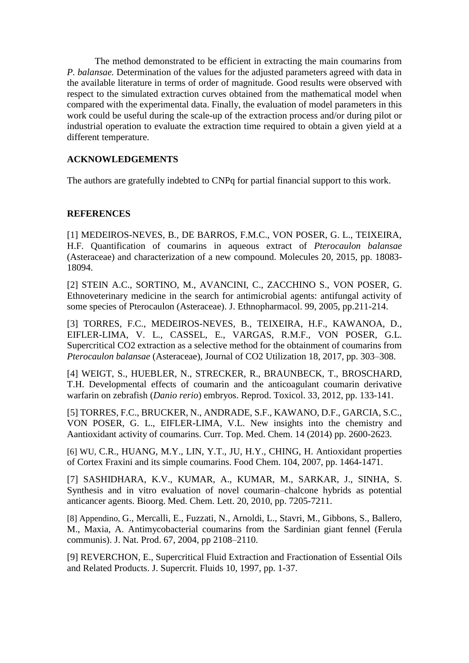The method demonstrated to be efficient in extracting the main coumarins from *P. balansae.* Determination of the values for the adjusted parameters agreed with data in the available literature in terms of order of magnitude. Good results were observed with respect to the simulated extraction curves obtained from the mathematical model when compared with the experimental data. Finally, the evaluation of model parameters in this work could be useful during the scale-up of the extraction process and/or during pilot or industrial operation to evaluate the extraction time required to obtain a given yield at a different temperature.

# **ACKNOWLEDGEMENTS**

The authors are gratefully indebted to CNPq for partial financial support to this work.

### **REFERENCES**

[1] MEDEIROS-NEVES, B., DE BARROS, F.M.C., VON POSER, G. L., TEIXEIRA, H.F. Quantification of coumarins in aqueous extract of *Pterocaulon balansae* (Asteraceae) and characterization of a new compound. Molecules 20, 2015, pp. 18083- 18094.

[2] STEIN A.C., SORTINO, M., AVANCINI, C., ZACCHINO S., VON POSER, G. Ethnoveterinary medicine in the search for antimicrobial agents: antifungal activity of some species of Pterocaulon (Asteraceae). J. Ethnopharmacol. 99, 2005, pp.211-214.

[3] TORRES, F.C., MEDEIROS-NEVES, B., TEIXEIRA, H.F., KAWANOA, D., EIFLER-LIMA, V. L., CASSEL, E., VARGAS, R.M.F., VON POSER, G.L. Supercritical CO2 extraction as a selective method for the obtainment of coumarins from *Pterocaulon balansae* (Asteraceae), Journal of CO2 Utilization 18, 2017, pp. 303–308.

[4] WEIGT, [S.,](https://www.sciencedirect.com/science/article/pii/S0890623811002954#!) HUEBLER, [N.,](https://www.sciencedirect.com/science/article/pii/S0890623811002954#!) STRECKER, [R.,](https://www.sciencedirect.com/science/article/pii/S0890623811002954#!) BRAUNBECK, [T.,](https://www.sciencedirect.com/science/article/pii/S0890623811002954#!) BROSCHARD, [T.H.](https://www.sciencedirect.com/science/article/pii/S0890623811002954#!) Developmental effects of coumarin and the anticoagulant coumarin derivative warfarin on zebrafish (*Danio rerio*) embryos. [Reprod.](https://www.sciencedirect.com/science/journal/08906238) Toxicol. [33,](https://www.sciencedirect.com/science/journal/08906238/33/2) 2012, pp. 133-141.

[5] TORRES, F.C., BRUCKER, N., ANDRADE, S.F., KAWANO, D.F., GARCIA, S.C., VON POSER, G. L., EIFLER-LIMA, V.L. New insights into the chemistry and Aantioxidant activity of coumarins. Curr. Top. Med. Chem. 14 (2014) pp. 2600-2623.

[6] WU, [C.R.,](https://www.sciencedirect.com/science/article/pii/S0308814607001914#!) HUANG, [M.Y.,](https://www.sciencedirect.com/science/article/pii/S0308814607001914#!) LIN, [Y.T.,](https://www.sciencedirect.com/science/article/pii/S0308814607001914#!) JU, [H.Y.,](https://www.sciencedirect.com/science/article/pii/S0308814607001914#!) CHING, [H.](https://www.sciencedirect.com/science/article/pii/S0308814607001914#!) Antioxidant properties of Cortex Fraxini and its simple coumarins. [Food Chem.](https://www.sciencedirect.com/science/journal/03088146) [104,](https://www.sciencedirect.com/science/journal/03088146/104/4) 2007, pp. 1464-1471.

[7] SASHIDHARA, [K.V.,](https://www.sciencedirect.com/science/article/pii/S0960894X10015775#!) KUMAR, [A.,](https://www.sciencedirect.com/science/article/pii/S0960894X10015775#!) KUMAR, [M.,](https://www.sciencedirect.com/science/article/pii/S0960894X10015775#!) SARKAR, [J.,](https://www.sciencedirect.com/science/article/pii/S0960894X10015775#!) SINHA, [S.](https://www.sciencedirect.com/science/article/pii/S0960894X10015775#!) Synthesis and in vitro evaluation of novel coumarin–chalcone hybrids as potential anticancer agents. Bioorg. Med. Chem. Lett. [20,](https://www.sciencedirect.com/science/journal/0960894X/20/24) 2010, pp. 7205-7211.

[8] Appendino, [G.,](https://pubs.acs.org/author/Appendino%2C+Giovanni) Mercalli, [E.,](https://pubs.acs.org/author/Mercalli%2C+Enrico) Fuzzati, [N.,](https://pubs.acs.org/author/Fuzzati%2C+Nicola) Arnoldi, [L.,](https://pubs.acs.org/author/Arnoldi%2C+Lolita) Stavri, [M.,](https://pubs.acs.org/author/Stavri%2C+Michael) Gibbons, [S.,](https://pubs.acs.org/author/Gibbons%2C+Simon) Ballero, [M.,](https://pubs.acs.org/author/Ballero%2C+Mauro) Maxia, [A.](https://pubs.acs.org/author/Maxia%2C+Andrea) Antimycobacterial coumarins from the Sardinian giant fennel (Ferula communis). J. Nat. Prod. 67, 2004, pp 2108–2110.

[9] REVERCHON, E., Supercritical Fluid Extraction and Fractionation of Essential Oils and Related Products. J. Supercrit. Fluids 10, 1997, pp. 1-37.